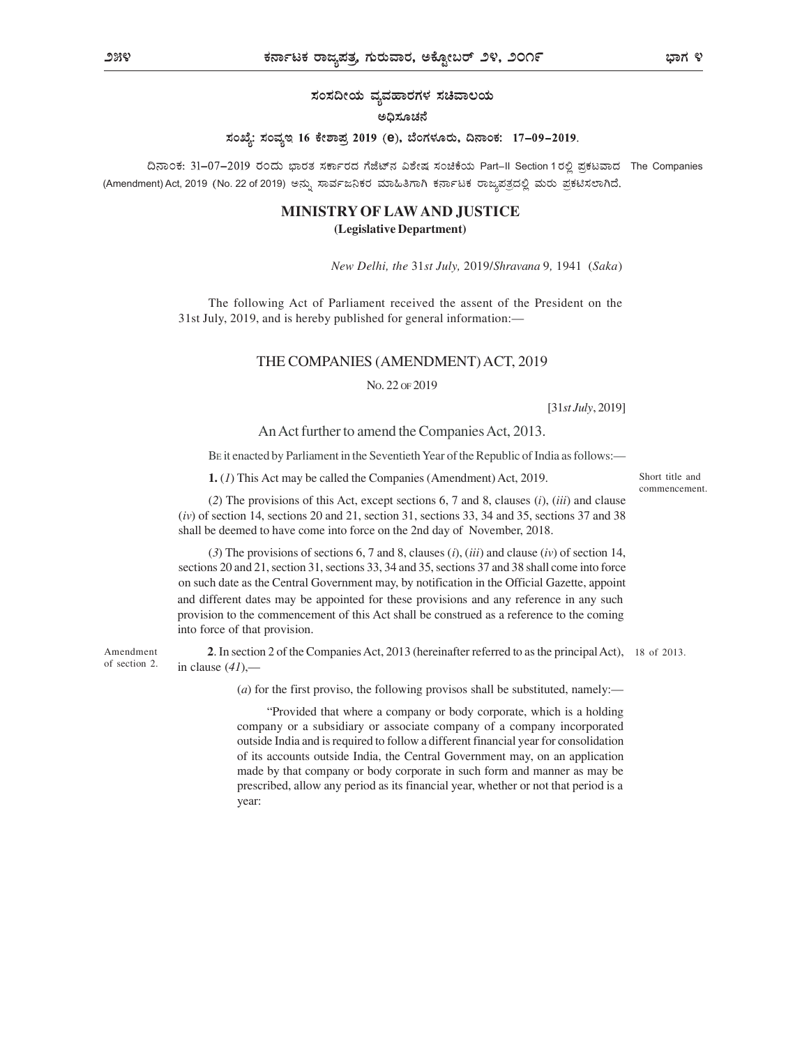ಸಂಸದೀಯ ವ್ಯವಹಾರಗಳ ಸಚಿವಾಲಯ

### ಅಧಿಸೂಚನೆ

# ಸಂಖ್ಯೆ: ಸಂವೃಇ 16 ಕೇಶಾಪ್ರ 2019 (e), ಬೆಂಗಳೂರು, ದಿನಾಂಕ: 17-09-2019.

ದಿನಾಂಕ: 31-07-2019 ರಂದು ಭಾರತ ಸರ್ಕಾರದ ಗೆಜೆಟ್ನ ವಿಶೇಷ ಸಂಚಿಕೆಯ Part-II Section 1 ರಲ್ಲಿ ಪ್ರಕಟವಾದ The Companies (Amendment) Act, 2019 (No. 22 of 2019) ಅನ್ನು ಸಾರ್ವಜನಿಕರ ಮಾಹಿತಿಗಾಗಿ ಕರ್ನಾಟಕ ರಾಜ್ನಪತ್ರದಲ್ಲಿ ಮರು ಪ್ರಕಟಿಸಲಾಗಿದೆ.

## MINISTRY OF LAW AND JUSTICE (Legislative Department)

New Delhi, the 31st July, 2019/Shravana 9, 1941 (Saka)

The following Act of Parliament received the assent of the President on the 31st July, 2019, and is hereby published for general information:

### THE COMPANIES (AMENDMENT) ACT, 2019

NO. 22 OF 2019

[31st July, 2019]

### An Act further to amend the Companies Act, 2013.

BE it enacted by Parliament in the Seventieth Year of the Republic of India as follows:

1. (1) This Act may be called the Companies (Amendment) Act, 2019.

(2) The provisions of this Act, except sections 6, 7 and 8, clauses (i), (iii) and clause  $(iv)$  of section 14, sections 20 and 21, section 31, sections 33, 34 and 35, sections 37 and 38 shall be deemed to have come into force on the 2nd day of November, 2018.

(3) The provisions of sections 6, 7 and 8, clauses  $(i)$ ,  $(iii)$  and clause  $(iv)$  of section 14, sections 20 and 21, section 31, sections 33, 34 and 35, sections 37 and 38 shall come into force on such date as the Central Government may, by notification in the Official Gazette, appoint and different dates may be appointed for these provisions and any reference in any such provision to the commencement of this Act shall be construed as a reference to the coming into force of that provision.

Amendment 2. In section 2 of the Companies Act, 2013 (hereinafter referred to as the principal Act), 18 of 2013. of section 2. in clause  $(4l)$ ,—

(a) for the first proviso, the following provisos shall be substituted, namely:—

Provided that where a company or body corporate, which is a holding company or a subsidiary or associate company of a company incorporated outside India and is required to follow a different financial year for consolidation of its accounts outside India, the Central Government may, on an application made by that company or body corporate in such form and manner as may be prescribed, allow any period as its financial year, whether or not that period is a year:

Short title and commencement.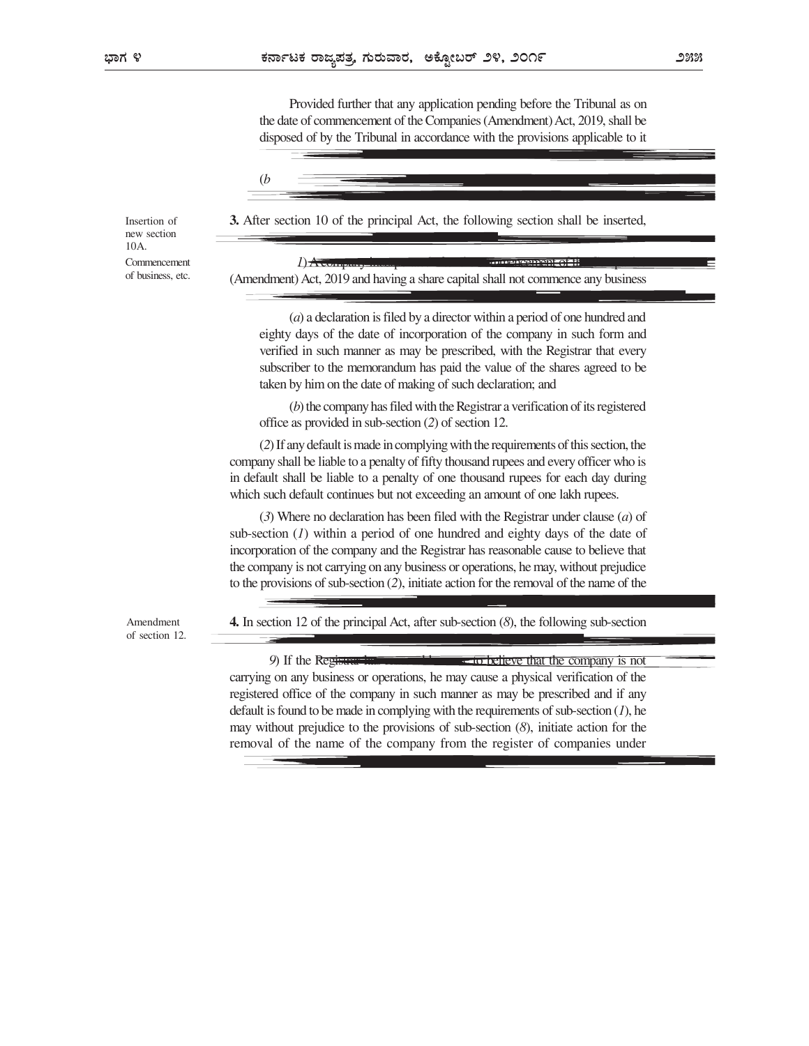Provided further that any application pending before the Tribunal as on the date of commencement of the Companies (Amendment) Act, 2019, shall be disposed of by the Tribunal in accordance with the provisions applicable to it



 $1)$  A company incorporated after the commencement of the Companies  $=$ 

3. After section 10 of the principal Act, the following section shall be inserted, Insertion of

(Amendment) Act, 2019 and having a share capital shall not commence any business

new section 10A. Commencement  $I)$   $\overrightarrow{A}$  comof business, etc.

> (a) a declaration is filed by a director within a period of one hundred and eighty days of the date of incorporation of the company in such form and

verified in such manner as may be prescribed, with the Registrar that every subscriber to the memorandum has paid the value of the shares agreed to be taken by him on the date of making of such declaration; and

(b) the company has filed with the Registrar a verification of its registered office as provided in sub-section (2) of section 12.

(2) If any default is made in complying with the requirements of this section, the company shall be liable to a penalty of fifty thousand rupees and every officer who is in default shall be liable to a penalty of one thousand rupees for each day during which such default continues but not exceeding an amount of one lakh rupees.

(3) Where no declaration has been filed with the Registrar under clause (a) of sub-section  $(I)$  within a period of one hundred and eighty days of the date of incorporation of the company and the Registrar has reasonable cause to believe that the company is not carrying on any business or operations, he may, without prejudice to the provisions of sub-section (2), initiate action for the removal of the name of the

of section 12.

Amendment **4.** In section 12 of the principal Act, after sub-section  $(8)$ , the following sub-section

9) If the Registrar has reasonable cause to believe that the company is not carrying on any business or operations, he may cause a physical verification of the registered office of the company in such manner as may be prescribed and if any default is found to be made in complying with the requirements of sub-section  $(I)$ , he may without prejudice to the provisions of sub-section (8), initiate action for the removal of the name of the company from the register of companies under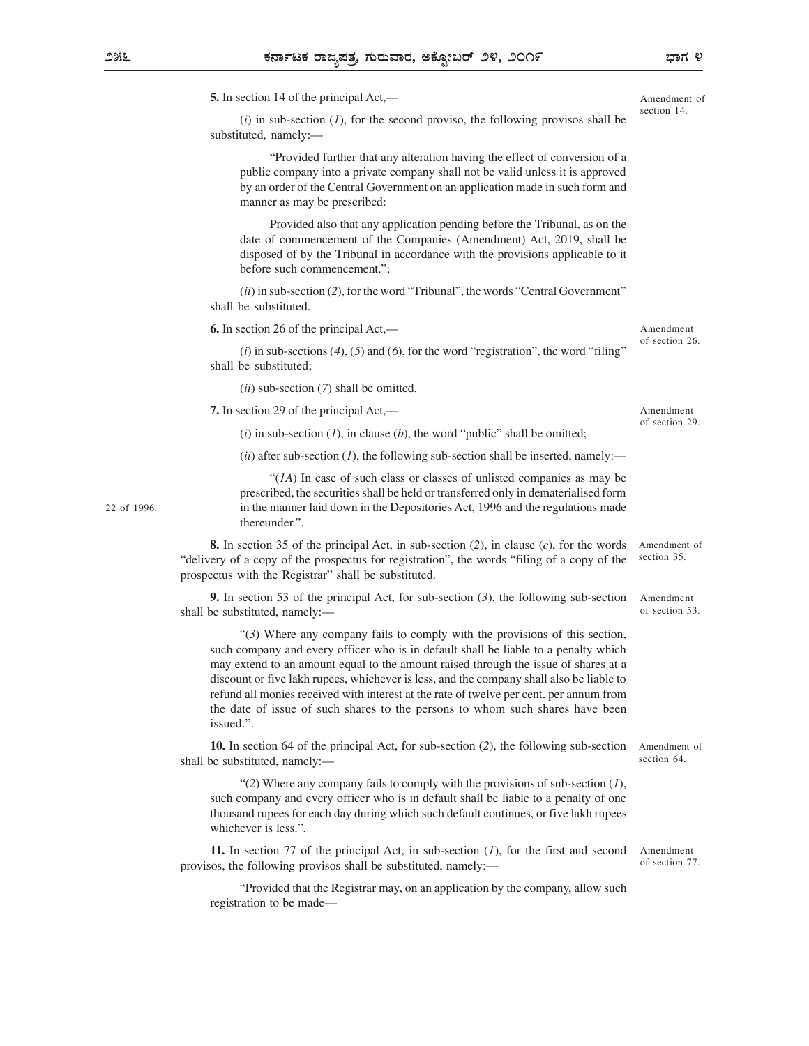5. In section 14 of the principal Act,

 $(i)$  in sub-section  $(I)$ , for the second proviso, the following provisos shall be substituted, namely:

Provided further that any alteration having the effect of conversion of a public company into a private company shall not be valid unless it is approved by an order of the Central Government on an application made in such form and manner as may be prescribed:

Provided also that any application pending before the Tribunal, as on the date of commencement of the Companies (Amendment) Act, 2019, shall be disposed of by the Tribunal in accordance with the provisions applicable to it before such commencement.";

 $(ii)$  in sub-section (2), for the word "Tribunal", the words "Central Government" shall be substituted.

6. In section 26 of the principal Act,

 $(i)$  in sub-sections  $(4)$ ,  $(5)$  and  $(6)$ , for the word "registration", the word "filing" shall be substituted;

 $(ii)$  sub-section  $(7)$  shall be omitted.

7. In section 29 of the principal Act,

(i) in sub-section (1), in clause (b), the word "public" shall be omitted;

 $(ii)$  after sub-section (1), the following sub-section shall be inserted, namely:

 $\mathcal{H}(1)$  In case of such class or classes of unlisted companies as may be prescribed, the securities shall be held or transferred only in dematerialised form in the manner laid down in the Depositories Act, 1996 and the regulations made thereunder.".

8. In section 35 of the principal Act, in sub-section  $(2)$ , in clause  $(c)$ , for the words "delivery of a copy of the prospectus for registration", the words "filing of a copy of the prospectus with the Registrar" shall be substituted. Amendment of section 35.

**9.** In section 53 of the principal Act, for sub-section  $(3)$ , the following sub-section shall be substituted, namely:

(3) Where any company fails to comply with the provisions of this section, such company and every officer who is in default shall be liable to a penalty which may extend to an amount equal to the amount raised through the issue of shares at a discount or five lakh rupees, whichever is less, and the company shall also be liable to refund all monies received with interest at the rate of twelve per cent. per annum from the date of issue of such shares to the persons to whom such shares have been issued.".

10. In section 64 of the principal Act, for sub-section (2), the following sub-section shall be substituted, namely:

"(2) Where any company fails to comply with the provisions of sub-section  $(1)$ , such company and every officer who is in default shall be liable to a penalty of one thousand rupees for each day during which such default continues, or five lakh rupees whichever is less."

11. In section 77 of the principal Act, in sub-section  $(1)$ , for the first and second provisos, the following provisos shall be substituted, namely:

Provided that the Registrar may, on an application by the company, allow such registration to be made

Amendment of section 26.

Amendment of section 29.

Amendment of section 53.

Amendment of section 64.

Amendment of section 77.

Amendment of section 14.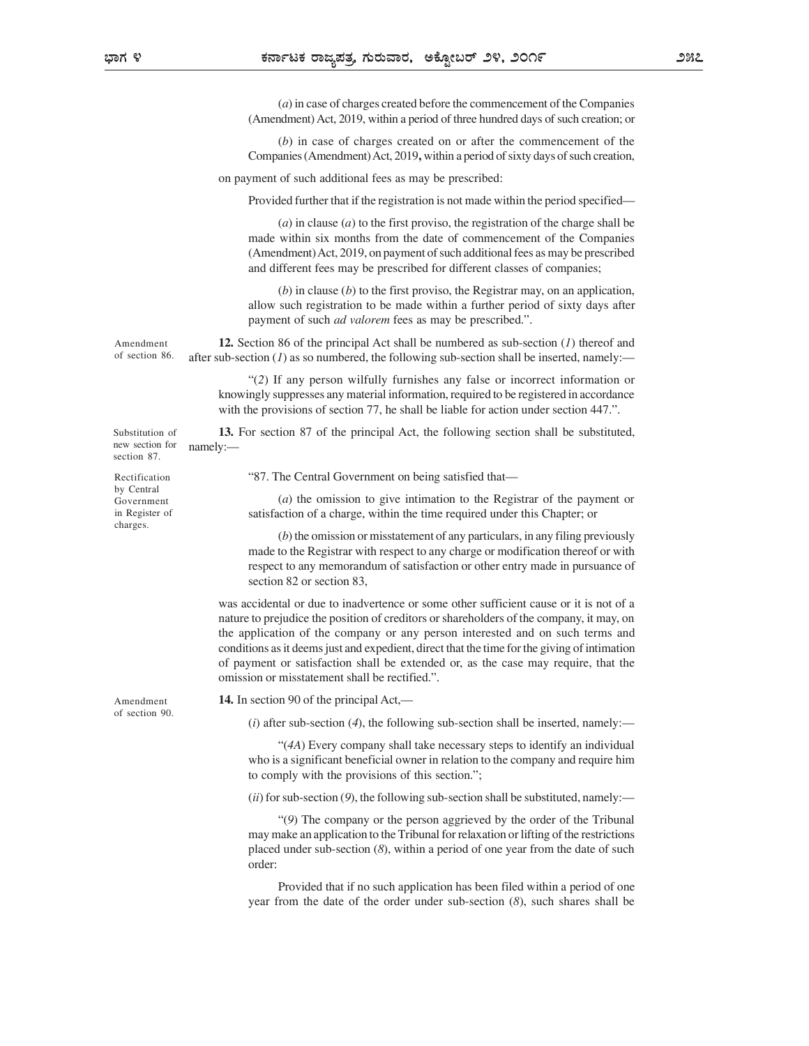(a) in case of charges created before the commencement of the Companies (Amendment) Act, 2019, within a period of three hundred days of such creation; or

(b) in case of charges created on or after the commencement of the Companies (Amendment) Act, 2019, within a period of sixty days of such creation,

on payment of such additional fees as may be prescribed:

Provided further that if the registration is not made within the period specified

(a) in clause (a) to the first proviso, the registration of the charge shall be made within six months from the date of commencement of the Companies (Amendment) Act, 2019, on payment of such additional fees as may be prescribed and different fees may be prescribed for different classes of companies;

 $(b)$  in clause  $(b)$  to the first proviso, the Registrar may, on an application, allow such registration to be made within a further period of sixty days after payment of such *ad valorem* fees as may be prescribed.".

Amendment **12.** Section 86 of the principal Act shall be numbered as sub-section  $(I)$  thereof and of section 86. after sub-section (1) as so numbered, the following sub-section shall be inserted, namely:—

> (2) If any person wilfully furnishes any false or incorrect information or knowingly suppresses any material information, required to be registered in accordance with the provisions of section 77, he shall be liable for action under section 447.".

Substitution of **13.** For section 87 of the principal Act, the following section shall be substituted, namely:— example of the state of the state of the state of the state of the state of the state of the state of the state of the state of the state of the state of the state of the state of the state of the state of the sta new section for namely:-

by Central Government

87. The Central Government on being satisfied that Rectification

(a) the omission to give intimation to the Registrar of the payment or in Register of satisfaction of a charge, within the time required under this Chapter; or

> (b) the omission or misstatement of any particulars, in any filing previously made to the Registrar with respect to any charge or modification thereof or with respect to any memorandum of satisfaction or other entry made in pursuance of section 82 or section 83,

was accidental or due to inadvertence or some other sufficient cause or it is not of a nature to prejudice the position of creditors or shareholders of the company, it may, on the application of the company or any person interested and on such terms and conditions as it deems just and expedient, direct that the time for the giving of intimation of payment or satisfaction shall be extended or, as the case may require, that the omission or misstatement shall be rectified.".

of section 90.

section 87.

charges.

Amendment **14.** In section 90 of the principal Act,—

(i) after sub-section (4), the following sub-section shall be inserted, namely:—

(4A) Every company shall take necessary steps to identify an individual who is a significant beneficial owner in relation to the company and require him to comply with the provisions of this section.";

 $(ii)$  for sub-section (9), the following sub-section shall be substituted, namely:—

(9) The company or the person aggrieved by the order of the Tribunal may make an application to the Tribunal for relaxation or lifting of the restrictions placed under sub-section (8), within a period of one year from the date of such order:

Provided that if no such application has been filed within a period of one year from the date of the order under sub-section (8), such shares shall be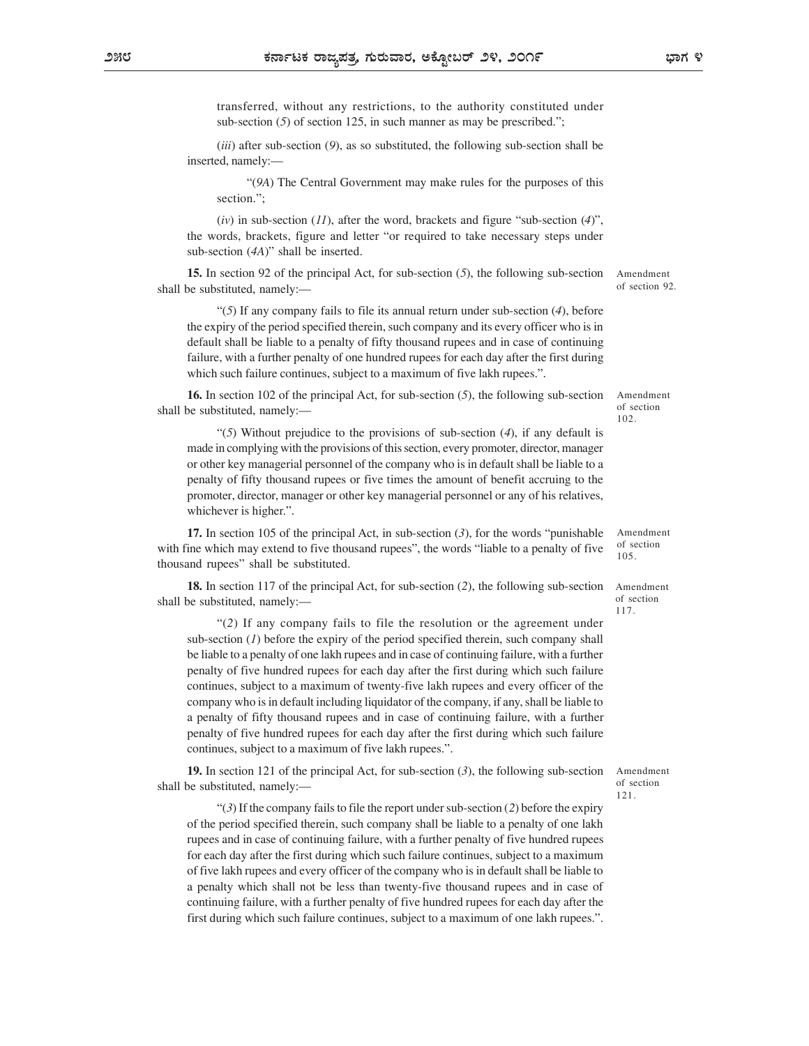transferred, without any restrictions, to the authority constituted under sub-section  $(5)$  of section 125, in such manner as may be prescribed.";

 $(iii)$  after sub-section  $(9)$ , as so substituted, the following sub-section shall be inserted, namely:

(9A) The Central Government may make rules for the purposes of this section.":

(iv) in sub-section (11), after the word, brackets and figure "sub-section (4)", the words, brackets, figure and letter "or required to take necessary steps under sub-section  $(4A)$ " shall be inserted.

15. In section 92 of the principal Act, for sub-section (5), the following sub-section shall be substituted, namely:

" $(5)$  If any company fails to file its annual return under sub-section  $(4)$ , before the expiry of the period specified therein, such company and its every officer who is in default shall be liable to a penalty of fifty thousand rupees and in case of continuing failure, with a further penalty of one hundred rupees for each day after the first during which such failure continues, subject to a maximum of five lakh rupees.".

16. In section 102 of the principal Act, for sub-section (5), the following sub-section shall be substituted, namely:— $\frac{102}{102}$ 

 $\cdot$ (5) Without prejudice to the provisions of sub-section (4), if any default is made in complying with the provisions of this section, every promoter, director, manager or other key managerial personnel of the company who is in default shall be liable to a penalty of fifty thousand rupees or five times the amount of benefit accruing to the promoter, director, manager or other key managerial personnel or any of his relatives, whichever is higher.".

17. In section 105 of the principal Act, in sub-section  $(3)$ , for the words "punishable with fine which may extend to five thousand rupees", the words "liable to a penalty of five thousand rupees" shall be substituted.

18. In section 117 of the principal Act, for sub-section (2), the following sub-section shall be substituted, namely:

(2) If any company fails to file the resolution or the agreement under sub-section  $(I)$  before the expiry of the period specified therein, such company shall be liable to a penalty of one lakh rupees and in case of continuing failure, with a further penalty of five hundred rupees for each day after the first during which such failure continues, subject to a maximum of twenty-five lakh rupees and every officer of the company who is in default including liquidator of the company, if any, shall be liable to a penalty of fifty thousand rupees and in case of continuing failure, with a further penalty of five hundred rupees for each day after the first during which such failure continues, subject to a maximum of five lakh rupees.".

19. In section 121 of the principal Act, for sub-section  $(3)$ , the following sub-section shall be substituted, namely:

 $\lq(3)$  If the company fails to file the report under sub-section (2) before the expiry of the period specified therein, such company shall be liable to a penalty of one lakh rupees and in case of continuing failure, with a further penalty of five hundred rupees for each day after the first during which such failure continues, subject to a maximum of five lakh rupees and every officer of the company who is in default shall be liable to a penalty which shall not be less than twenty-five thousand rupees and in case of continuing failure, with a further penalty of five hundred rupees for each day after the first during which such failure continues, subject to a maximum of one lakh rupees.".

Amendment of section 92.

Amendment of section

102.

Amendment

of section 105.

Amendment of section 117.

Amendment of section 121.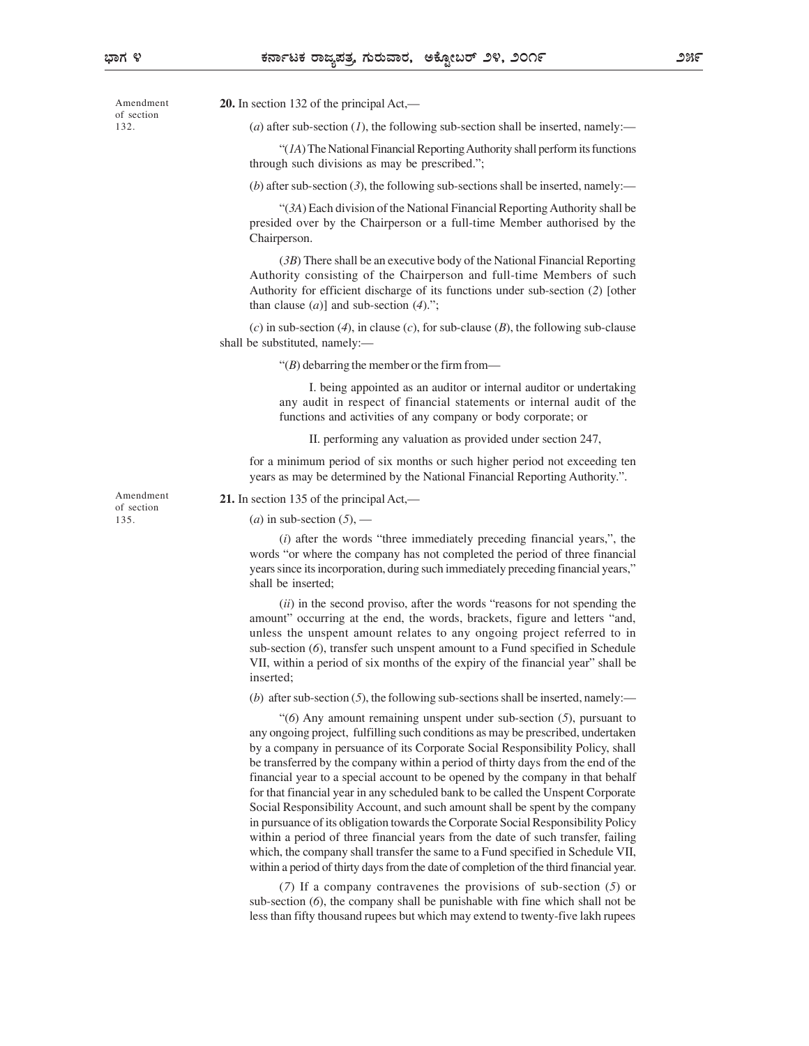of section 132.

(a) after sub-section (1), the following sub-section shall be inserted, namely:—

 $\mathcal{H}(1)$  The National Financial Reporting Authority shall perform its functions through such divisions as may be prescribed.";

(b) after sub-section  $(3)$ , the following sub-sections shall be inserted, namely:

(3A) Each division of the National Financial Reporting Authority shall be presided over by the Chairperson or a full-time Member authorised by the Chairperson.

(3B) There shall be an executive body of the National Financial Reporting Authority consisting of the Chairperson and full-time Members of such Authority for efficient discharge of its functions under sub-section (2) [other than clause  $(a)$ ] and sub-section  $(4)$ .";

(c) in sub-section (4), in clause (c), for sub-clause (B), the following sub-clause shall be substituted, namely:

 $\lq\lq(B)$  debarring the member or the firm from—

I. being appointed as an auditor or internal auditor or undertaking any audit in respect of financial statements or internal audit of the functions and activities of any company or body corporate; or

II. performing any valuation as provided under section 247,

for a minimum period of six months or such higher period not exceeding ten years as may be determined by the National Financial Reporting Authority..

of section 135.

Amendment 21. In section 135 of the principal Act,—

(a) in sub-section  $(5)$ , —

 $(i)$  after the words "three immediately preceding financial years,", the words "or where the company has not completed the period of three financial years since its incorporation, during such immediately preceding financial years, shall be inserted;

 $(ii)$  in the second proviso, after the words "reasons for not spending the amount" occurring at the end, the words, brackets, figure and letters "and, unless the unspent amount relates to any ongoing project referred to in sub-section (6), transfer such unspent amount to a Fund specified in Schedule VII, within a period of six months of the expiry of the financial year" shall be inserted;

(b) after sub-section  $(5)$ , the following sub-sections shall be inserted, namely:

 $(6)$  Any amount remaining unspent under sub-section  $(5)$ , pursuant to any ongoing project, fulfilling such conditions as may be prescribed, undertaken by a company in persuance of its Corporate Social Responsibility Policy, shall be transferred by the company within a period of thirty days from the end of the financial year to a special account to be opened by the company in that behalf for that financial year in any scheduled bank to be called the Unspent Corporate Social Responsibility Account, and such amount shall be spent by the company in pursuance of its obligation towards the Corporate Social Responsibility Policy within a period of three financial years from the date of such transfer, failing which, the company shall transfer the same to a Fund specified in Schedule VII, within a period of thirty days from the date of completion of the third financial year.

(7) If a company contravenes the provisions of sub-section (5) or sub-section (6), the company shall be punishable with fine which shall not be less than fifty thousand rupees but which may extend to twenty-five lakh rupees

Amendment **20.** In section 132 of the principal Act,—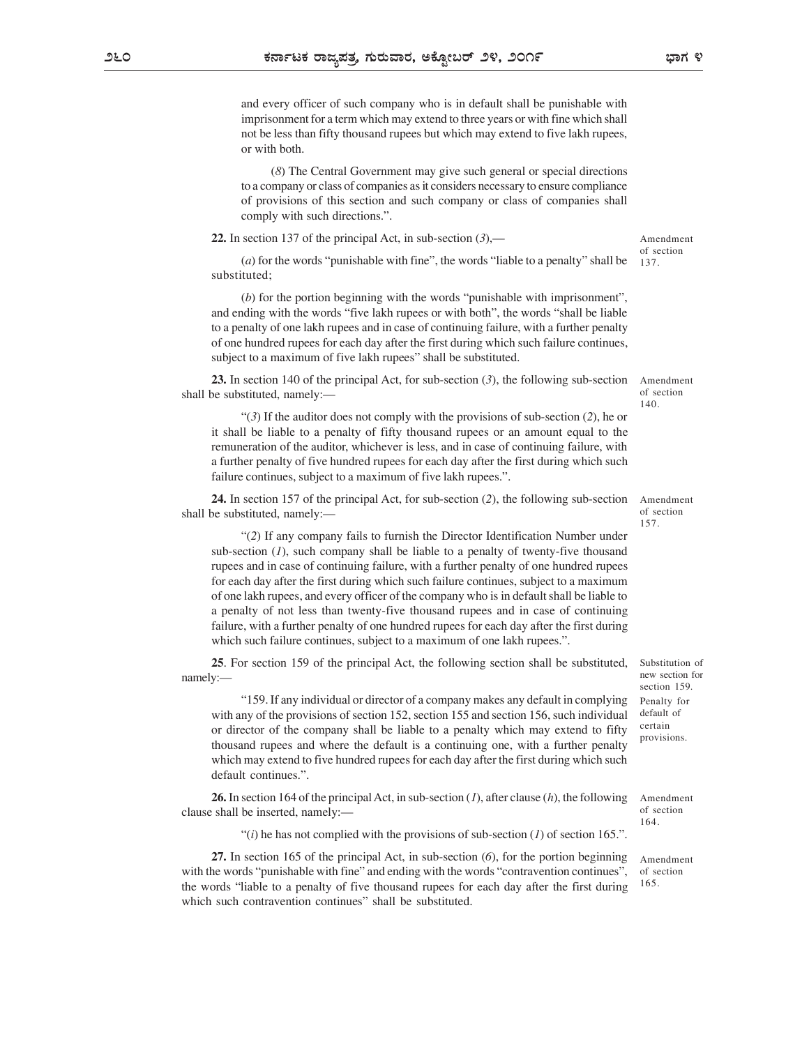and every officer of such company who is in default shall be punishable with imprisonment for a term which may extend to three years or with fine which shall not be less than fifty thousand rupees but which may extend to five lakh rupees, or with both.

(8) The Central Government may give such general or special directions to a company or class of companies as it considers necessary to ensure compliance of provisions of this section and such company or class of companies shall comply with such directions.".

22. In section 137 of the principal Act, in sub-section  $(3)$ ,—

(a) for the words "punishable with fine", the words "liable to a penalty" shall be substituted;

 $(b)$  for the portion beginning with the words "punishable with imprisonment", and ending with the words "five lakh rupees or with both", the words "shall be liable to a penalty of one lakh rupees and in case of continuing failure, with a further penalty of one hundred rupees for each day after the first during which such failure continues, subject to a maximum of five lakh rupees" shall be substituted.

23. In section 140 of the principal Act, for sub-section (3), the following sub-section shall be substituted, namely:

 $\cdot$  (3) If the auditor does not comply with the provisions of sub-section (2), he or it shall be liable to a penalty of fifty thousand rupees or an amount equal to the remuneration of the auditor, whichever is less, and in case of continuing failure, with a further penalty of five hundred rupees for each day after the first during which such failure continues, subject to a maximum of five lakh rupees.".

24. In section 157 of the principal Act, for sub-section (2), the following sub-section shall be substituted, namely:

(2) If any company fails to furnish the Director Identification Number under sub-section  $(1)$ , such company shall be liable to a penalty of twenty-five thousand rupees and in case of continuing failure, with a further penalty of one hundred rupees for each day after the first during which such failure continues, subject to a maximum of one lakh rupees, and every officer of the company who is in default shall be liable to a penalty of not less than twenty-five thousand rupees and in case of continuing failure, with a further penalty of one hundred rupees for each day after the first during which such failure continues, subject to a maximum of one lakh rupees.".

25. For section 159 of the principal Act, the following section shall be substituted, namely:— and the contract of the contract of the contract of the contract of the contract of the contract of the contract of the contract of the contract of the contract of the contract of the contract of the contract of t

159. If any individual or director of a company makes any default in complying with any of the provisions of section 152, section 155 and section 156, such individual default or director of the company shall be liable to a penalty which may extend to fifty thousand rupees and where the default is a continuing one, with a further penalty which may extend to five hundred rupees for each day after the first during which such default continues.".

**26.** In section 164 of the principal Act, in sub-section  $(I)$ , after clause  $(h)$ , the following clause shall be inserted, namely:

"(i) he has not complied with the provisions of sub-section  $(1)$  of section 165.".

27. In section 165 of the principal Act, in sub-section (6), for the portion beginning with the words "punishable with fine" and ending with the words "contravention continues", the words "liable to a penalty of five thousand rupees for each day after the first during which such contravention continues" shall be substituted.

Substitution of new section for section 159. Penalty for default of certain **contracts** provisions.

Amendment of section 164.

Amendment of section 165.

Amendment of section 137.

Amendment of section 140.

Amendment of section 157.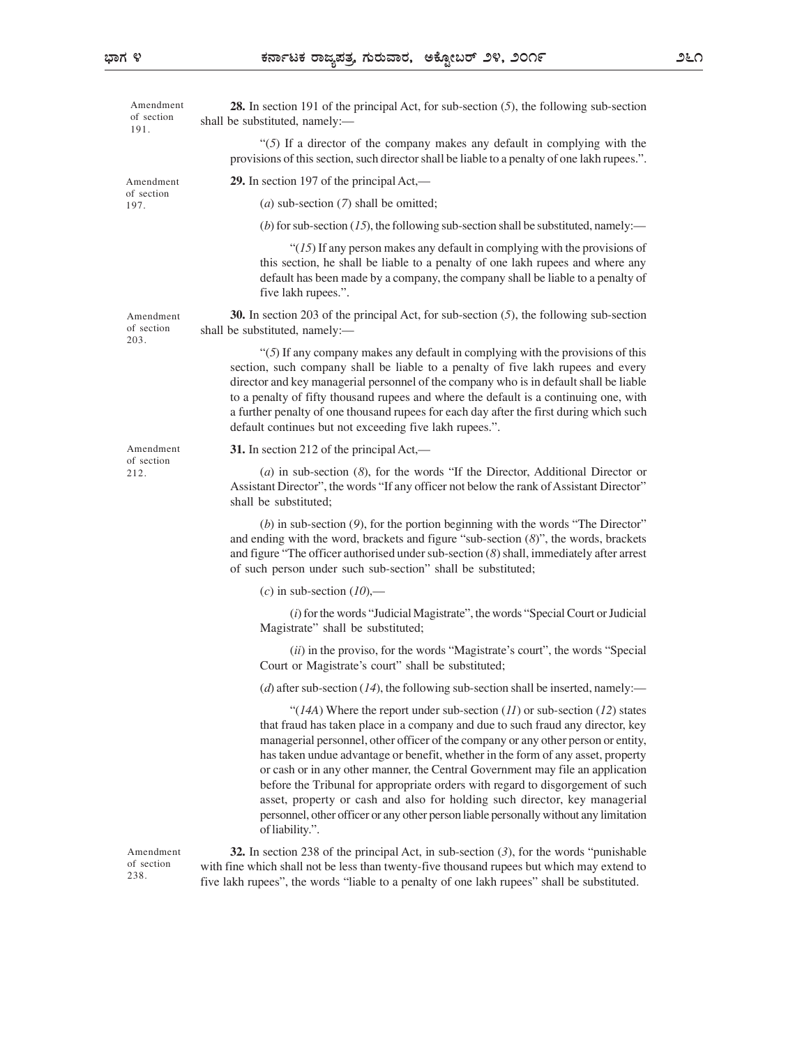| Amendment<br>of section<br>191. | <b>28.</b> In section 191 of the principal Act, for sub-section $(5)$ , the following sub-section<br>shall be substituted, namely:-                                                                                                                                                                                                                                                                                                                                                                                                                                                                                                                                                                     |  |
|---------------------------------|---------------------------------------------------------------------------------------------------------------------------------------------------------------------------------------------------------------------------------------------------------------------------------------------------------------------------------------------------------------------------------------------------------------------------------------------------------------------------------------------------------------------------------------------------------------------------------------------------------------------------------------------------------------------------------------------------------|--|
|                                 | "(5) If a director of the company makes any default in complying with the<br>provisions of this section, such director shall be liable to a penalty of one lakh rupees.".                                                                                                                                                                                                                                                                                                                                                                                                                                                                                                                               |  |
| Amendment<br>of section<br>197. | <b>29.</b> In section 197 of the principal $Act$ ,—                                                                                                                                                                                                                                                                                                                                                                                                                                                                                                                                                                                                                                                     |  |
|                                 | (a) sub-section $(7)$ shall be omitted;                                                                                                                                                                                                                                                                                                                                                                                                                                                                                                                                                                                                                                                                 |  |
|                                 | (b) for sub-section (15), the following sub-section shall be substituted, namely:—                                                                                                                                                                                                                                                                                                                                                                                                                                                                                                                                                                                                                      |  |
|                                 | " $(15)$ If any person makes any default in complying with the provisions of<br>this section, he shall be liable to a penalty of one lakh rupees and where any<br>default has been made by a company, the company shall be liable to a penalty of<br>five lakh rupees.".                                                                                                                                                                                                                                                                                                                                                                                                                                |  |
| Amendment<br>of section<br>203. | 30. In section 203 of the principal Act, for sub-section $(5)$ , the following sub-section<br>shall be substituted, namely:-                                                                                                                                                                                                                                                                                                                                                                                                                                                                                                                                                                            |  |
|                                 | "(5) If any company makes any default in complying with the provisions of this<br>section, such company shall be liable to a penalty of five lakh rupees and every<br>director and key managerial personnel of the company who is in default shall be liable<br>to a penalty of fifty thousand rupees and where the default is a continuing one, with<br>a further penalty of one thousand rupees for each day after the first during which such<br>default continues but not exceeding five lakh rupees.".                                                                                                                                                                                             |  |
| Amendment<br>of section<br>212. | 31. In section 212 of the principal $Act$ ,—                                                                                                                                                                                                                                                                                                                                                                                                                                                                                                                                                                                                                                                            |  |
|                                 | (a) in sub-section (8), for the words "If the Director, Additional Director or<br>Assistant Director", the words "If any officer not below the rank of Assistant Director"<br>shall be substituted;                                                                                                                                                                                                                                                                                                                                                                                                                                                                                                     |  |
|                                 | $(b)$ in sub-section $(9)$ , for the portion beginning with the words "The Director"<br>and ending with the word, brackets and figure "sub-section $(8)$ ", the words, brackets<br>and figure "The officer authorised under sub-section $(8)$ shall, immediately after arrest<br>of such person under such sub-section" shall be substituted;                                                                                                                                                                                                                                                                                                                                                           |  |
|                                 | (c) in sub-section $(10)$ ,—                                                                                                                                                                                                                                                                                                                                                                                                                                                                                                                                                                                                                                                                            |  |
|                                 | (i) for the words "Judicial Magistrate", the words "Special Court or Judicial<br>Magistrate" shall be substituted;                                                                                                                                                                                                                                                                                                                                                                                                                                                                                                                                                                                      |  |
|                                 | (ii) in the proviso, for the words "Magistrate's court", the words "Special<br>Court or Magistrate's court" shall be substituted;                                                                                                                                                                                                                                                                                                                                                                                                                                                                                                                                                                       |  |
|                                 | (d) after sub-section (14), the following sub-section shall be inserted, namely:—                                                                                                                                                                                                                                                                                                                                                                                                                                                                                                                                                                                                                       |  |
|                                 | "(14A) Where the report under sub-section $(11)$ or sub-section $(12)$ states<br>that fraud has taken place in a company and due to such fraud any director, key<br>managerial personnel, other officer of the company or any other person or entity,<br>has taken undue advantage or benefit, whether in the form of any asset, property<br>or cash or in any other manner, the Central Government may file an application<br>before the Tribunal for appropriate orders with regard to disgorgement of such<br>asset, property or cash and also for holding such director, key managerial<br>personnel, other officer or any other person liable personally without any limitation<br>of liability.". |  |
| Amendment<br>of section<br>238. | 32. In section 238 of the principal Act, in sub-section $(3)$ , for the words "punishable"<br>with fine which shall not be less than twenty-five thousand rupees but which may extend to<br>five lakh rupees", the words "liable to a penalty of one lakh rupees" shall be substituted.                                                                                                                                                                                                                                                                                                                                                                                                                 |  |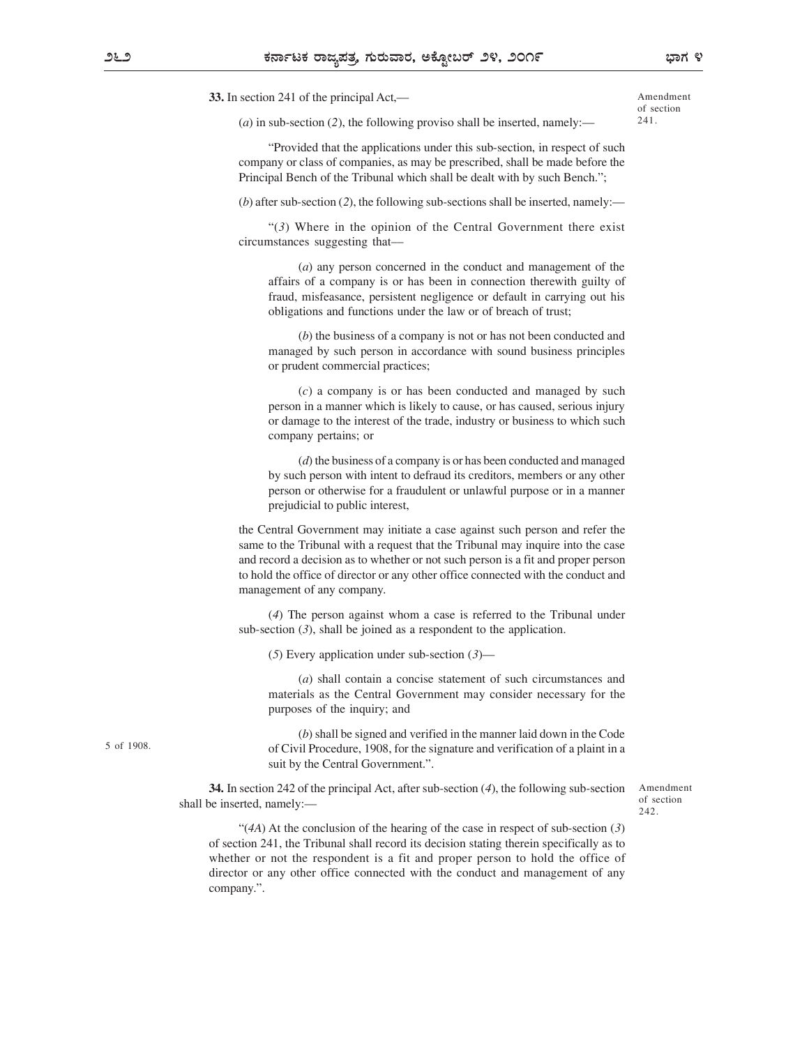33. In section 241 of the principal Act,

Amendment of section 241.

 $(a)$  in sub-section (2), the following proviso shall be inserted, namely:

Provided that the applications under this sub-section, in respect of such company or class of companies, as may be prescribed, shall be made before the Principal Bench of the Tribunal which shall be dealt with by such Bench.";

(b) after sub-section (2), the following sub-sections shall be inserted, namely:—

 $\cdot$ (3) Where in the opinion of the Central Government there exist circumstances suggesting that

(a) any person concerned in the conduct and management of the affairs of a company is or has been in connection therewith guilty of fraud, misfeasance, persistent negligence or default in carrying out his obligations and functions under the law or of breach of trust;

(b) the business of a company is not or has not been conducted and managed by such person in accordance with sound business principles or prudent commercial practices;

 $(c)$  a company is or has been conducted and managed by such person in a manner which is likely to cause, or has caused, serious injury or damage to the interest of the trade, industry or business to which such company pertains; or

(d) the business of a company is or has been conducted and managed by such person with intent to defraud its creditors, members or any other person or otherwise for a fraudulent or unlawful purpose or in a manner prejudicial to public interest,

the Central Government may initiate a case against such person and refer the same to the Tribunal with a request that the Tribunal may inquire into the case and record a decision as to whether or not such person is a fit and proper person to hold the office of director or any other office connected with the conduct and management of any company.

(4) The person against whom a case is referred to the Tribunal under sub-section (3), shall be joined as a respondent to the application.

(5) Every application under sub-section  $(3)$ —

(a) shall contain a concise statement of such circumstances and materials as the Central Government may consider necessary for the purposes of the inquiry; and

(b) shall be signed and verified in the manner laid down in the Code of Civil Procedure, 1908, for the signature and verification of a plaint in a suit by the Central Government.".

34. In section 242 of the principal Act, after sub-section (4), the following sub-section shall be inserted, namely:

Amendment of section 242.

 $\cdot$  (4A) At the conclusion of the hearing of the case in respect of sub-section (3) of section 241, the Tribunal shall record its decision stating therein specifically as to whether or not the respondent is a fit and proper person to hold the office of director or any other office connected with the conduct and management of any company.".

5 of 1908.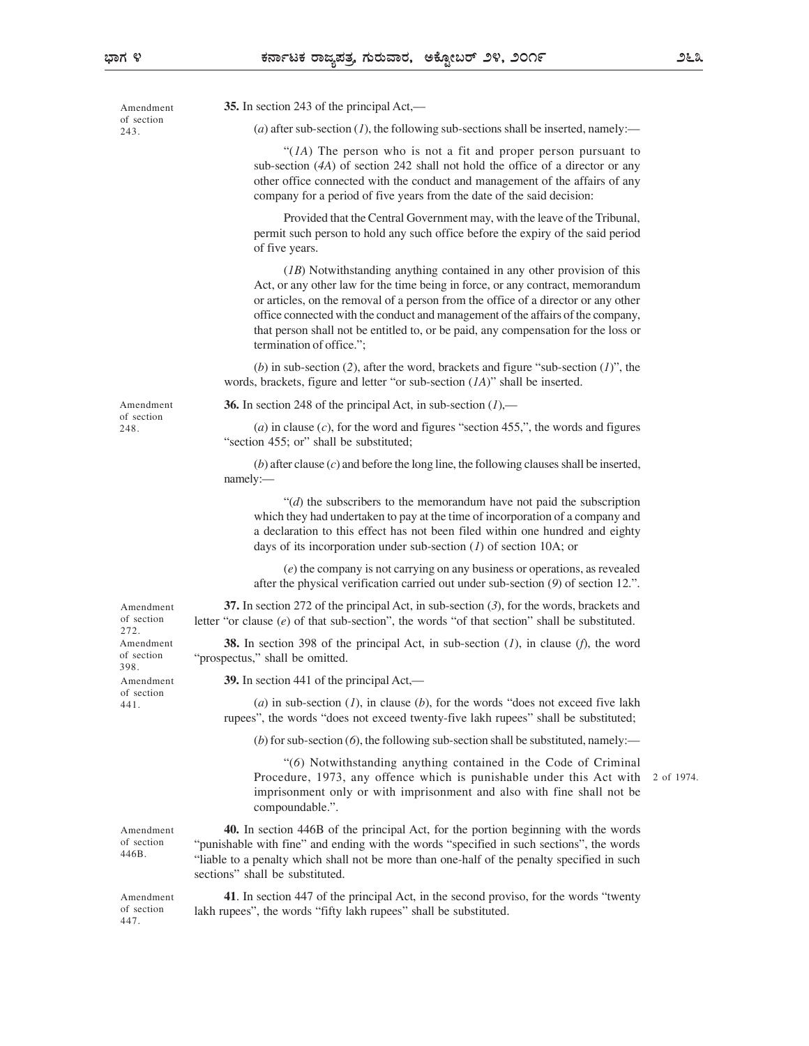447.

Amendment 35. In section 243 of the principal Act,— (a) after sub-section (1), the following sub-sections shall be inserted, namely:— "( $1A$ ) The person who is not a fit and proper person pursuant to sub-section (4A) of section 242 shall not hold the office of a director or any other office connected with the conduct and management of the affairs of any company for a period of five years from the date of the said decision: Provided that the Central Government may, with the leave of the Tribunal, permit such person to hold any such office before the expiry of the said period of five years. (1B) Notwithstanding anything contained in any other provision of this Act, or any other law for the time being in force, or any contract, memorandum or articles, on the removal of a person from the office of a director or any other office connected with the conduct and management of the affairs of the company, that person shall not be entitled to, or be paid, any compensation for the loss or termination of office.": (b) in sub-section (2), after the word, brackets and figure "sub-section  $(1)$ ", the words, brackets, figure and letter "or sub-section  $(IA)$ " shall be inserted. Amendment 36. In section 248 of the principal Act, in sub-section  $(I)$ ,— (a) in clause  $(c)$ , for the word and figures "section 455,", the words and figures "section 455; or" shall be substituted;  $(b)$  after clause  $(c)$  and before the long line, the following clauses shall be inserted, namely:— example of the state of the state of the state of the state of the state of the state of the state of the state of the state of the state of the state of the state of the state of the state of the state of the sta  $\mathcal{H}(d)$  the subscribers to the memorandum have not paid the subscription which they had undertaken to pay at the time of incorporation of a company and a declaration to this effect has not been filed within one hundred and eighty days of its incorporation under sub-section (1) of section 10A; or (e) the company is not carrying on any business or operations, as revealed after the physical verification carried out under sub-section  $(9)$  of section 12.". Amendment 37. In section 272 of the principal Act, in sub-section (3), for the words, brackets and of section letter "or clause  $(e)$  of that sub-section", the words "of that section" shall be substituted. Amendment **38.** In section 398 of the principal Act, in sub-section  $(I)$ , in clause  $(f)$ , the word of section "prospectus," shall be omitted. Amendment  $\frac{39. \text{ In section } 441 \text{ of the principal Act.}}$ (a) in sub-section  $(1)$ , in clause  $(b)$ , for the words "does not exceed five lakh rupees", the words "does not exceed twenty-five lakh rupees" shall be substituted; (b) for sub-section  $(6)$ , the following sub-section shall be substituted, namely: (6) Notwithstanding anything contained in the Code of Criminal Procedure, 1973, any offence which is punishable under this Act with imprisonment only or with imprisonment and also with fine shall not be compoundable.". Amendment **40.** In section 446B of the principal Act, for the portion beginning with the words of section "punishable with fine" and ending with the words "specified in such sections", the words liable to a penalty which shall not be more than one-half of the penalty specified in such 446B. sections" shall be substituted. Amendment 41. In section 447 of the principal Act, in the second proviso, for the words "twenty" of section lakh rupees", the words "fifty lakh rupees" shall be substituted. of section 243. of section 248. 272. 398. of section 441. 2 of 1974.